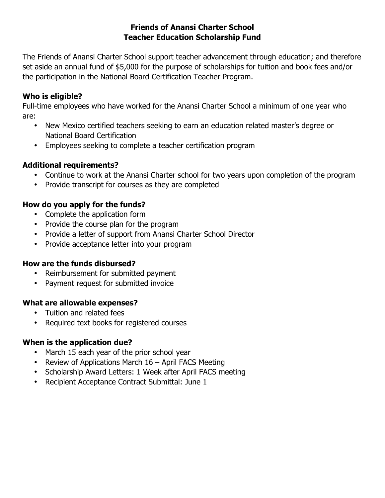#### **Friends of Anansi Charter School Teacher Education Scholarship Fund**

The Friends of Anansi Charter School support teacher advancement through education; and therefore set aside an annual fund of \$5,000 for the purpose of scholarships for tuition and book fees and/or the participation in the National Board Certification Teacher Program.

#### **Who is eligible?**

Full-time employees who have worked for the Anansi Charter School a minimum of one year who are:

- New Mexico certified teachers seeking to earn an education related master's degree or National Board Certification
- Employees seeking to complete a teacher certification program

## **Additional requirements?**

- Continue to work at the Anansi Charter school for two years upon completion of the program
- Provide transcript for courses as they are completed

## **How do you apply for the funds?**

- Complete the application form
- Provide the course plan for the program
- Provide a letter of support from Anansi Charter School Director
- Provide acceptance letter into your program

## **How are the funds disbursed?**

- Reimbursement for submitted payment
- Payment request for submitted invoice

## **What are allowable expenses?**

- Tuition and related fees
- Required text books for registered courses

## **When is the application due?**

- March 15 each year of the prior school year
- Review of Applications March 16 April FACS Meeting
- Scholarship Award Letters: 1 Week after April FACS meeting
- Recipient Acceptance Contract Submittal: June 1